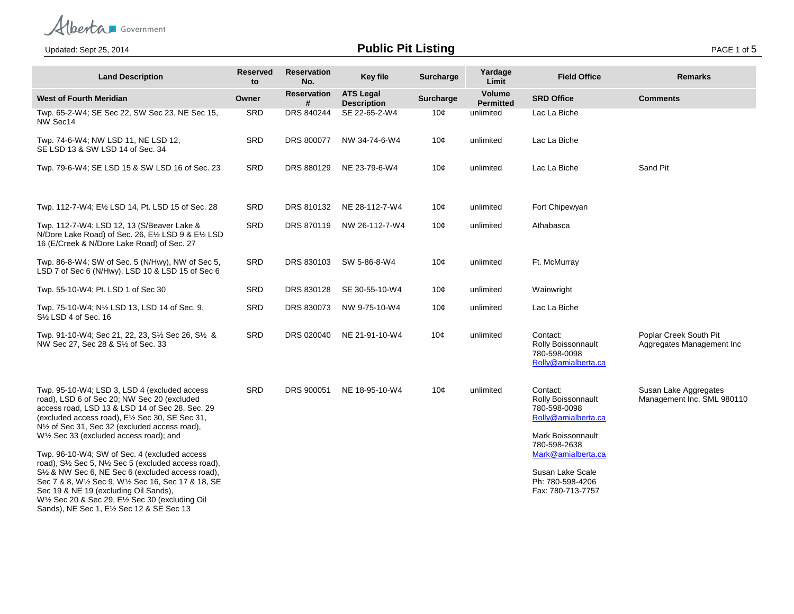Alberta Government

**Public Pit Listing** Page 1 of 5

| <b>Land Description</b>                                                                                                                                                                                                                                                                                                                                                                                                                 | <b>Reserved</b><br>to | <b>Reservation</b><br>No. | <b>Key file</b>                        | Surcharge | Yardage<br>Limit           | <b>Field Office</b>                                                                                        | <b>Remarks</b>                                      |
|-----------------------------------------------------------------------------------------------------------------------------------------------------------------------------------------------------------------------------------------------------------------------------------------------------------------------------------------------------------------------------------------------------------------------------------------|-----------------------|---------------------------|----------------------------------------|-----------|----------------------------|------------------------------------------------------------------------------------------------------------|-----------------------------------------------------|
| <b>West of Fourth Meridian</b>                                                                                                                                                                                                                                                                                                                                                                                                          | Owner                 | <b>Reservation</b><br>#   | <b>ATS Legal</b><br><b>Description</b> | Surcharge | Volume<br><b>Permitted</b> | <b>SRD Office</b>                                                                                          | <b>Comments</b>                                     |
| Twp. 65-2-W4; SE Sec 22, SW Sec 23, NE Sec 15,<br>NW Sec14                                                                                                                                                                                                                                                                                                                                                                              | SRD                   | DRS 840244                | SE 22-65-2-W4                          | 10¢       | unlimited                  | Lac La Biche                                                                                               |                                                     |
| Twp. 74-6-W4; NW LSD 11, NE LSD 12,<br>SE LSD 13 & SW LSD 14 of Sec. 34                                                                                                                                                                                                                                                                                                                                                                 | SRD                   | DRS 800077                | NW 34-74-6-W4                          | 10¢       | unlimited                  | Lac La Biche                                                                                               |                                                     |
| Twp. 79-6-W4; SE LSD 15 & SW LSD 16 of Sec. 23                                                                                                                                                                                                                                                                                                                                                                                          | SRD                   | DRS 880129                | NE 23-79-6-W4                          | 10¢       | unlimited                  | Lac La Biche                                                                                               | Sand Pit                                            |
| Twp. 112-7-W4; E1/2 LSD 14, Pt. LSD 15 of Sec. 28                                                                                                                                                                                                                                                                                                                                                                                       | SRD                   | DRS 810132                | NE 28-112-7-W4                         | 10 $\phi$ | unlimited                  | Fort Chipewyan                                                                                             |                                                     |
| Twp. 112-7-W4; LSD 12, 13 (S/Beaver Lake &<br>N/Dore Lake Road) of Sec. 26, E1/2 LSD 9 & E1/2 LSD<br>16 (E/Creek & N/Dore Lake Road) of Sec. 27                                                                                                                                                                                                                                                                                         | SRD                   | DRS 870119                | NW 26-112-7-W4                         | 10¢       | unlimited                  | Athabasca                                                                                                  |                                                     |
| Twp. 86-8-W4; SW of Sec. 5 (N/Hwy), NW of Sec 5,<br>LSD 7 of Sec 6 (N/Hwy), LSD 10 & LSD 15 of Sec 6                                                                                                                                                                                                                                                                                                                                    | SRD                   | DRS 830103                | SW 5-86-8-W4                           | 10¢       | unlimited                  | Ft. McMurray                                                                                               |                                                     |
| Twp. 55-10-W4; Pt. LSD 1 of Sec 30                                                                                                                                                                                                                                                                                                                                                                                                      | SRD                   | DRS 830128                | SE 30-55-10-W4                         | 10 $\phi$ | unlimited                  | Wainwright                                                                                                 |                                                     |
| Twp. 75-10-W4; N½ LSD 13, LSD 14 of Sec. 9,<br>S <sup>1/2</sup> LSD 4 of Sec. 16                                                                                                                                                                                                                                                                                                                                                        | SRD                   | DRS 830073                | NW 9-75-10-W4                          | 10 $\phi$ | unlimited                  | Lac La Biche                                                                                               |                                                     |
| Twp. 91-10-W4; Sec 21, 22, 23, S1/2 Sec 26, S1/2 &<br>NW Sec 27, Sec 28 & S1/2 of Sec. 33                                                                                                                                                                                                                                                                                                                                               | SRD                   | DRS 020040                | NE 21-91-10-W4                         | 10¢       | unlimited                  | Contact:<br>Rolly Boissonnault<br>780-598-0098<br>Rolly@amialberta.ca                                      | Poplar Creek South Pit<br>Aggregates Management Inc |
| Twp. 95-10-W4; LSD 3, LSD 4 (excluded access<br>road), LSD 6 of Sec 20; NW Sec 20 (excluded<br>access road, LSD 13 & LSD 14 of Sec 28, Sec. 29<br>(excluded access road), E <sup>1</sup> / <sub>2</sub> Sec 30, SE Sec 31,<br>N <sup>1</sup> / <sub>2</sub> of Sec 31, Sec 32 (excluded access road),<br>W1/2 Sec 33 (excluded access road); and                                                                                        | SRD                   | DRS 900051                | NE 18-95-10-W4                         | 10¢       | unlimited                  | Contact:<br>Rolly Boissonnault<br>780-598-0098<br>Rolly@amialberta.ca<br>Mark Boissonnault<br>780-598-2638 | Susan Lake Aggregates<br>Management Inc. SML 980110 |
| Twp. 96-10-W4; SW of Sec. 4 (excluded access<br>road), S1/2 Sec 5, N1/2 Sec 5 (excluded access road),<br>S <sup>1</sup> / <sub>2</sub> & NW Sec 6, NE Sec 6 (excluded access road),<br>Sec 7 & 8, W1/2 Sec 9, W1/2 Sec 16, Sec 17 & 18, SE<br>Sec 19 & NE 19 (excluding Oil Sands),<br>W <sup>1</sup> / <sub>2</sub> Sec 20 & Sec 29, E <sup>1</sup> / <sub>2</sub> Sec 30 (excluding Oil)<br>Sands), NE Sec 1, E1/2 Sec 12 & SE Sec 13 |                       |                           |                                        |           |                            | Mark@amialberta.ca<br>Susan Lake Scale<br>Ph: 780-598-4206<br>Fax: 780-713-7757                            |                                                     |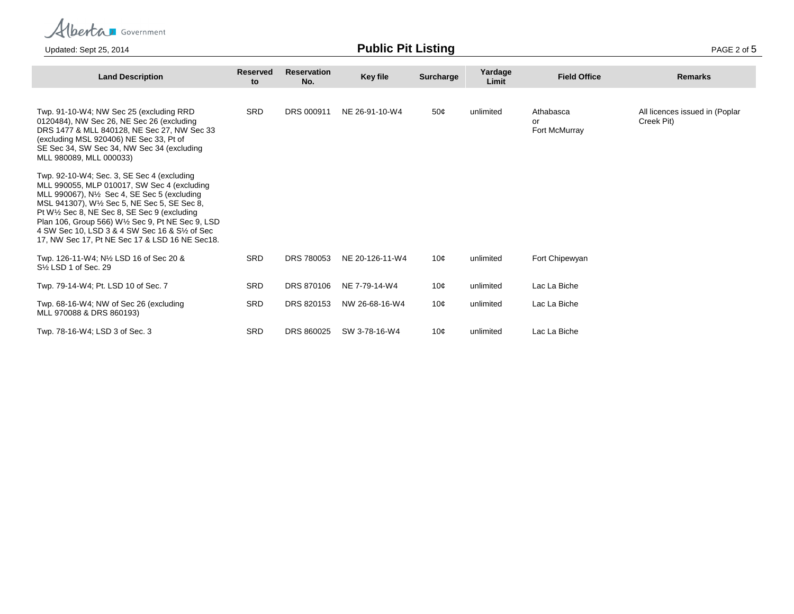Alberta Government

Updated: Sept 25, 2014 **Public Pit Listing** PAGE 2 of 5

| <b>Land Description</b>                                                                                                                                                                                                                                                                                                                                                                                                     | <b>Reserved</b><br>to | <b>Reservation</b><br>No. | <b>Key file</b> | <b>Surcharge</b> | Yardage<br>Limit | <b>Field Office</b>              | <b>Remarks</b>                               |
|-----------------------------------------------------------------------------------------------------------------------------------------------------------------------------------------------------------------------------------------------------------------------------------------------------------------------------------------------------------------------------------------------------------------------------|-----------------------|---------------------------|-----------------|------------------|------------------|----------------------------------|----------------------------------------------|
| Twp. 91-10-W4; NW Sec 25 (excluding RRD)<br>0120484), NW Sec 26, NE Sec 26 (excluding<br>DRS 1477 & MLL 840128, NE Sec 27, NW Sec 33<br>(excluding MSL 920406) NE Sec 33, Pt of<br>SE Sec 34, SW Sec 34, NW Sec 34 (excluding<br>MLL 980089, MLL 000033)                                                                                                                                                                    | <b>SRD</b>            | DRS 000911                | NE 26-91-10-W4  | 50¢              | unlimited        | Athabasca<br>or<br>Fort McMurray | All licences issued in (Poplar<br>Creek Pit) |
| Twp. 92-10-W4; Sec. 3, SE Sec 4 (excluding<br>MLL 990055, MLP 010017, SW Sec 4 (excluding<br>MLL 990067), N <sup>1</sup> / <sub>2</sub> Sec 4, SE Sec 5 (excluding<br>MSL 941307), W1/2 Sec 5, NE Sec 5, SE Sec 8,<br>Pt W1/2 Sec 8, NE Sec 8, SE Sec 9 (excluding<br>Plan 106, Group 566) W1/2 Sec 9, Pt NE Sec 9, LSD<br>4 SW Sec 10, LSD 3 & 4 SW Sec 16 & S1/2 of Sec<br>17, NW Sec 17, Pt NE Sec 17 & LSD 16 NE Sec18. |                       |                           |                 |                  |                  |                                  |                                              |
| Twp. 126-11-W4; N1/2 LSD 16 of Sec 20 &<br>S <sup>1/2</sup> LSD 1 of Sec. 29                                                                                                                                                                                                                                                                                                                                                | <b>SRD</b>            | DRS 780053                | NE 20-126-11-W4 | 10 <sub>c</sub>  | unlimited        | Fort Chipewyan                   |                                              |
| Twp. 79-14-W4; Pt. LSD 10 of Sec. 7                                                                                                                                                                                                                                                                                                                                                                                         | <b>SRD</b>            | DRS 870106                | NE 7-79-14-W4   | 10 <sub>c</sub>  | unlimited        | Lac La Biche                     |                                              |
| Twp. 68-16-W4; NW of Sec 26 (excluding<br>MLL 970088 & DRS 860193)                                                                                                                                                                                                                                                                                                                                                          | <b>SRD</b>            | DRS 820153                | NW 26-68-16-W4  | 10 <sub>c</sub>  | unlimited        | Lac La Biche                     |                                              |
| Twp. 78-16-W4; LSD 3 of Sec. 3                                                                                                                                                                                                                                                                                                                                                                                              | <b>SRD</b>            | DRS 860025                | SW 3-78-16-W4   | 10¢              | unlimited        | Lac La Biche                     |                                              |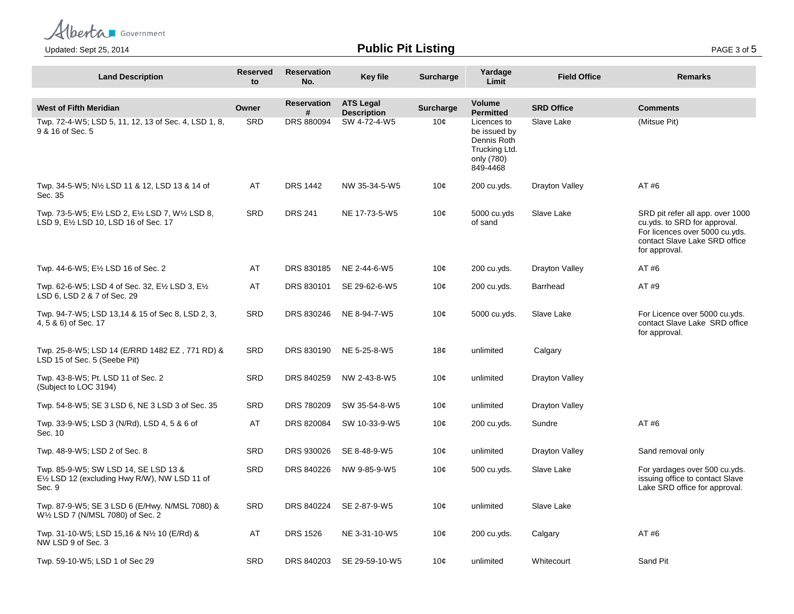Alberta Government

**Public Pit Listing** Page 196, 2014 **Public Pit Listing** 

| <b>Land Description</b>                                                                                             | <b>Reserved</b><br>to | <b>Reservation</b><br>No. | <b>Key file</b>                        | <b>Surcharge</b> | Yardage<br>Limit                                                                      | <b>Field Office</b> | <b>Remarks</b>                                                                                                                                       |
|---------------------------------------------------------------------------------------------------------------------|-----------------------|---------------------------|----------------------------------------|------------------|---------------------------------------------------------------------------------------|---------------------|------------------------------------------------------------------------------------------------------------------------------------------------------|
| <b>West of Fifth Meridian</b>                                                                                       | Owner                 | <b>Reservation</b><br>#   | <b>ATS Legal</b><br><b>Description</b> | <b>Surcharge</b> | Volume<br><b>Permitted</b>                                                            | <b>SRD Office</b>   | <b>Comments</b>                                                                                                                                      |
| Twp. 72-4-W5; LSD 5, 11, 12, 13 of Sec. 4, LSD 1, 8,<br>9 & 16 of Sec. 5                                            | <b>SRD</b>            | DRS 880094                | SW 4-72-4-W5                           | 10¢              | Licences to<br>be issued by<br>Dennis Roth<br>Trucking Ltd.<br>only (780)<br>849-4468 | Slave Lake          | (Mitsue Pit)                                                                                                                                         |
| Twp. 34-5-W5; N1/2 LSD 11 & 12, LSD 13 & 14 of<br>Sec. 35                                                           | AT                    | <b>DRS 1442</b>           | NW 35-34-5-W5                          | 10¢              | 200 cu.yds.                                                                           | Drayton Valley      | AT #6                                                                                                                                                |
| Twp. 73-5-W5; E1/2 LSD 2, E1/2 LSD 7, W1/2 LSD 8,<br>LSD 9, E <sup>1</sup> / <sub>2</sub> LSD 10, LSD 16 of Sec. 17 | <b>SRD</b>            | <b>DRS 241</b>            | NE 17-73-5-W5                          | 10¢              | 5000 cu.yds<br>of sand                                                                | Slave Lake          | SRD pit refer all app. over 1000<br>cu.yds. to SRD for approval.<br>For licences over 5000 cu.yds.<br>contact Slave Lake SRD office<br>for approval. |
| Twp. 44-6-W5; E1/2 LSD 16 of Sec. 2                                                                                 | AT                    | DRS 830185                | NE 2-44-6-W5                           | 10¢              | 200 cu.yds.                                                                           | Drayton Valley      | AT #6                                                                                                                                                |
| Twp. 62-6-W5; LSD 4 of Sec. 32, E1/2 LSD 3, E1/2<br>LSD 6, LSD 2 & 7 of Sec. 29                                     | AT                    | DRS 830101                | SE 29-62-6-W5                          | 10¢              | 200 cu.vds.                                                                           | Barrhead            | AT #9                                                                                                                                                |
| Twp. 94-7-W5; LSD 13,14 & 15 of Sec 8, LSD 2, 3,<br>4, 5 & 6) of Sec. 17                                            | <b>SRD</b>            | DRS 830246                | NE 8-94-7-W5                           | 10¢              | 5000 cu.yds.                                                                          | Slave Lake          | For Licence over 5000 cu.yds.<br>contact Slave Lake SRD office<br>for approval.                                                                      |
| Twp. 25-8-W5; LSD 14 (E/RRD 1482 EZ, 771 RD) &<br>LSD 15 of Sec. 5 (Seebe Pit)                                      | <b>SRD</b>            | DRS 830190                | NE 5-25-8-W5                           | 18¢              | unlimited                                                                             | Calgary             |                                                                                                                                                      |
| Twp. 43-8-W5; Pt. LSD 11 of Sec. 2<br>(Subject to LOC 3194)                                                         | <b>SRD</b>            | DRS 840259                | NW 2-43-8-W5                           | 10¢              | unlimited                                                                             | Drayton Valley      |                                                                                                                                                      |
| Twp. 54-8-W5; SE 3 LSD 6, NE 3 LSD 3 of Sec. 35                                                                     | <b>SRD</b>            | DRS 780209                | SW 35-54-8-W5                          | 10¢              | unlimited                                                                             | Drayton Valley      |                                                                                                                                                      |
| Twp. 33-9-W5; LSD 3 (N/Rd), LSD 4, 5 & 6 of<br>Sec. 10                                                              | AT                    | DRS 820084                | SW 10-33-9-W5                          | 10¢              | 200 cu.yds.                                                                           | Sundre              | AT #6                                                                                                                                                |
| Twp. 48-9-W5; LSD 2 of Sec. 8                                                                                       | <b>SRD</b>            | DRS 930026                | SE 8-48-9-W5                           | 10 <sub>c</sub>  | unlimited                                                                             | Drayton Valley      | Sand removal only                                                                                                                                    |
| Twp. 85-9-W5; SW LSD 14, SE LSD 13 &<br>E1/2 LSD 12 (excluding Hwy R/W), NW LSD 11 of<br>Sec. 9                     | <b>SRD</b>            | DRS 840226                | NW 9-85-9-W5                           | 10¢              | 500 cu.yds.                                                                           | Slave Lake          | For yardages over 500 cu.yds.<br>issuing office to contact Slave<br>Lake SRD office for approval.                                                    |
| Twp. 87-9-W5; SE 3 LSD 6 (E/Hwy. N/MSL 7080) &<br>W1/2 LSD 7 (N/MSL 7080) of Sec. 2                                 | <b>SRD</b>            | DRS 840224                | SE 2-87-9-W5                           | 10¢              | unlimited                                                                             | Slave Lake          |                                                                                                                                                      |
| Twp. 31-10-W5; LSD 15,16 & N½ 10 (E/Rd) &<br>NW LSD 9 of Sec. 3                                                     | AT                    | <b>DRS 1526</b>           | NE 3-31-10-W5                          | 10 <sub>c</sub>  | 200 cu.yds.                                                                           | Calgary             | AT #6                                                                                                                                                |
| Twp. 59-10-W5; LSD 1 of Sec 29                                                                                      | SRD                   | DRS 840203                | SE 29-59-10-W5                         | 10¢              | unlimited                                                                             | Whitecourt          | Sand Pit                                                                                                                                             |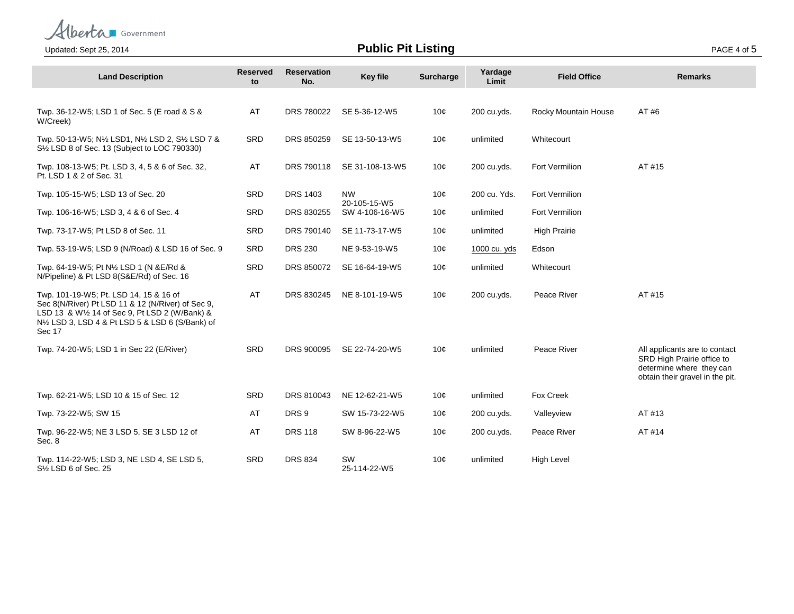

## **Public Pit Listing** Public Pit Listing Public Pit Listing Public Pit Listing PAGE 4 of 5

| <b>Land Description</b>                                                                                                                                                                                                              | <b>Reserved</b><br>to | <b>Reservation</b><br>No. | <b>Key file</b>                | <b>Surcharge</b> | Yardage<br>Limit | <b>Field Office</b>  | <b>Remarks</b>                                                                                                             |
|--------------------------------------------------------------------------------------------------------------------------------------------------------------------------------------------------------------------------------------|-----------------------|---------------------------|--------------------------------|------------------|------------------|----------------------|----------------------------------------------------------------------------------------------------------------------------|
|                                                                                                                                                                                                                                      |                       |                           |                                |                  |                  |                      |                                                                                                                            |
| Twp. 36-12-W5; LSD 1 of Sec. 5 (E road & S &<br>W/Creek)                                                                                                                                                                             | AT                    | DRS 780022                | SE 5-36-12-W5                  | 10¢              | 200 cu.vds.      | Rocky Mountain House | AT #6                                                                                                                      |
| Twp. 50-13-W5; N1/2 LSD1, N1/2 LSD 2, S1/2 LSD 7 &<br>S <sup>1/2</sup> LSD 8 of Sec. 13 (Subject to LOC 790330)                                                                                                                      | SRD                   | DRS 850259                | SE 13-50-13-W5                 | 10¢              | unlimited        | Whitecourt           |                                                                                                                            |
| Twp. 108-13-W5; Pt. LSD 3, 4, 5 & 6 of Sec. 32,<br>Pt. LSD 1 & 2 of Sec. 31                                                                                                                                                          | AT                    | DRS 790118                | SE 31-108-13-W5                | 10¢              | 200 cu.yds.      | Fort Vermilion       | AT #15                                                                                                                     |
| Twp. 105-15-W5; LSD 13 of Sec. 20                                                                                                                                                                                                    | SRD                   | <b>DRS 1403</b>           | <b>NW</b>                      | 10¢              | 200 cu. Yds.     | Fort Vermilion       |                                                                                                                            |
| Twp. 106-16-W5; LSD 3, 4 & 6 of Sec. 4                                                                                                                                                                                               | SRD                   | DRS 830255                | 20-105-15-W5<br>SW 4-106-16-W5 | 10¢              | unlimited        | Fort Vermilion       |                                                                                                                            |
| Twp. 73-17-W5; Pt LSD 8 of Sec. 11                                                                                                                                                                                                   | <b>SRD</b>            | DRS 790140                | SE 11-73-17-W5                 | 10¢              | unlimited        | <b>High Prairie</b>  |                                                                                                                            |
| Twp. 53-19-W5; LSD 9 (N/Road) & LSD 16 of Sec. 9                                                                                                                                                                                     | <b>SRD</b>            | <b>DRS 230</b>            | NE 9-53-19-W5                  | 10 $\phi$        | 1000 cu. yds     | Edson                |                                                                                                                            |
| Twp. 64-19-W5; Pt N1/2 LSD 1 (N & E/Rd &<br>N/Pipeline) & Pt LSD 8(S&E/Rd) of Sec. 16                                                                                                                                                | <b>SRD</b>            | DRS 850072                | SE 16-64-19-W5                 | 10¢              | unlimited        | Whitecourt           |                                                                                                                            |
| Twp. 101-19-W5; Pt. LSD 14, 15 & 16 of<br>Sec 8(N/River) Pt LSD 11 & 12 (N/River) of Sec 9,<br>LSD 13 & W1/2 14 of Sec 9, Pt LSD 2 (W/Bank) &<br>N <sup>1</sup> / <sub>2</sub> LSD 3, LSD 4 & Pt LSD 5 & LSD 6 (S/Bank) of<br>Sec 17 | AT                    | DRS 830245                | NE 8-101-19-W5                 | 10¢              | 200 cu.yds.      | Peace River          | AT #15                                                                                                                     |
| Twp. 74-20-W5; LSD 1 in Sec 22 (E/River)                                                                                                                                                                                             | SRD                   | DRS 900095                | SE 22-74-20-W5                 | 10¢              | unlimited        | Peace River          | All applicants are to contact<br>SRD High Prairie office to<br>determine where they can<br>obtain their gravel in the pit. |
| Twp. 62-21-W5; LSD 10 & 15 of Sec. 12                                                                                                                                                                                                | <b>SRD</b>            | DRS 810043                | NE 12-62-21-W5                 | 10 $\phi$        | unlimited        | Fox Creek            |                                                                                                                            |
| Twp. 73-22-W5; SW 15                                                                                                                                                                                                                 | AT                    | DRS <sub>9</sub>          | SW 15-73-22-W5                 | 10 $\phi$        | 200 cu.yds.      | Valleyview           | AT #13                                                                                                                     |
| Twp. 96-22-W5; NE 3 LSD 5, SE 3 LSD 12 of<br>Sec. 8                                                                                                                                                                                  | AT                    | <b>DRS 118</b>            | SW 8-96-22-W5                  | 10 $\phi$        | 200 cu.yds.      | Peace River          | AT #14                                                                                                                     |
| Twp. 114-22-W5; LSD 3, NE LSD 4, SE LSD 5,<br>S1/2 LSD 6 of Sec. 25                                                                                                                                                                  | SRD                   | <b>DRS 834</b>            | SW<br>25-114-22-W5             | 10¢              | unlimited        | <b>High Level</b>    |                                                                                                                            |